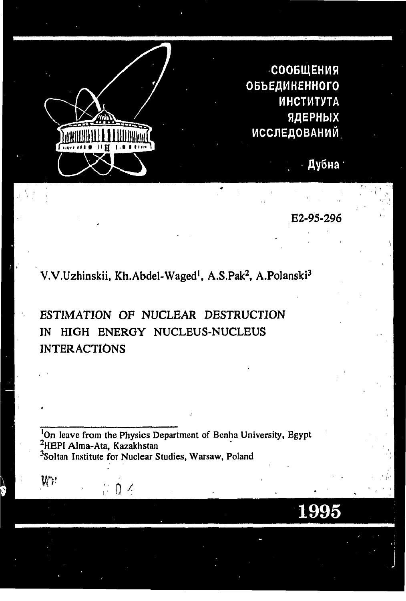

 $V^{\prime}$ 

СООБЩЕНИЯ ОБЪЕДИНЕННОГО **ИНСТИТУТА** ЯДЕРНЫХ **ИССЛЕДОВАНИЙ** 

Дубна

E2-95-296

1995

V.V.Uzhinskii, Kh.Abdel-Waged<sup>1</sup>, A.S.Pak<sup>2</sup>, A.Polanski<sup>3</sup>

ESTIMATION OF NUCLEAR DESTRUCTION HIGH ENERGY NUCLEUS-NUCLEUS IN **INTERACTIONS** 

<sup>1</sup>On leave from the Physics Department of Benha University, Egypt <sup>2</sup>HEPI Alma-Ata, Kazakhstan <sup>3</sup>Soltan Institute for Nuclear Studies, Warsaw, Poland

 $0<sup>2</sup>$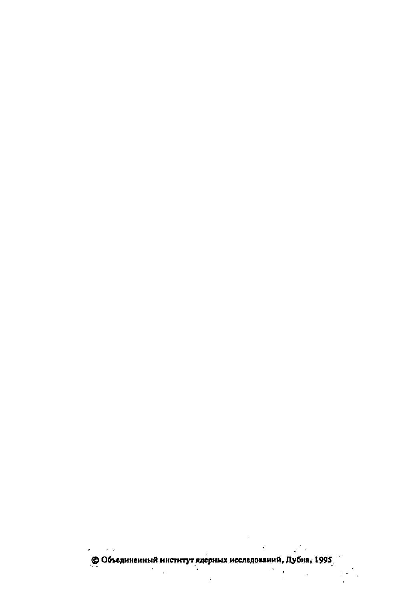**© Объединенны институ ядерны исследований, Дубна, 1995**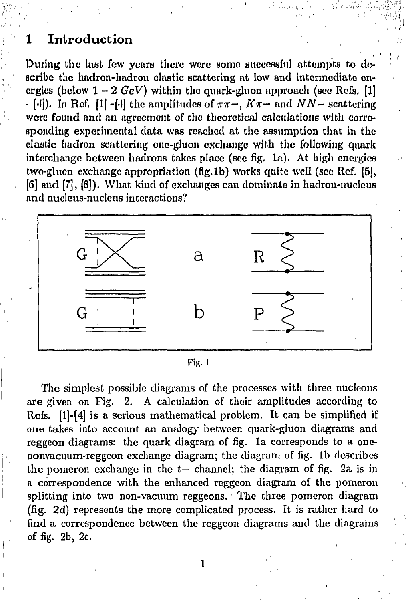## **1 Introduction**

During the last few years there were some successful attempts to describe the hadron-hadron elastic scattering at low and intermediate energies (below  $1-2 \text{ GeV}$ ) within the quark-gluon approach (see Refs. [1]  $\cdot$  [4]). In Ref. [1]  $\cdot$  [4] the amplitudes of  $\pi\pi$ -,  $K\pi$ - and  $NN$ - scattering were found and an agreement of the theoretical calculations with corresponding experimental data was reached at the assumption that in the clastic liadron scattering one-gluon exchange with the following quark interchange between hadrons takes place (sec fig. la). At high energies two-gluon exchange appropriation (fig.1b) works quite well (see Ref. [5], [6] and [7], [8]). What kind of exchanges can dominate in hadron-nucleus and nucleus-nucleus interactions?



Fig. 1

The simplest possible diagrams of the processes with three nucleons are given on Fig. 2. A calculation of their amplitudes according to Refs. [l]-[4] is a serious mathematical problem. It can be simplified if one takes into account an analogy between quark-gluon diagrams and reggeon diagrams: the quark diagram of fig. la corresponds to a onenonvacuum-reggeon exchange diagram; the diagram of fig. lb describes the pomeron exchange in the *t—* channel; the diagram of fig. 2a is in a correspondence with the enhanced reggeon diagram of the pomeron splitting into two non-vacuum reggeons.' The three pomeron diagram (fig. 2d) represents the more complicated process. It is rather hard to find a correspondence between the reggeon diagrams and the diagrams of fig. 2b, 2c.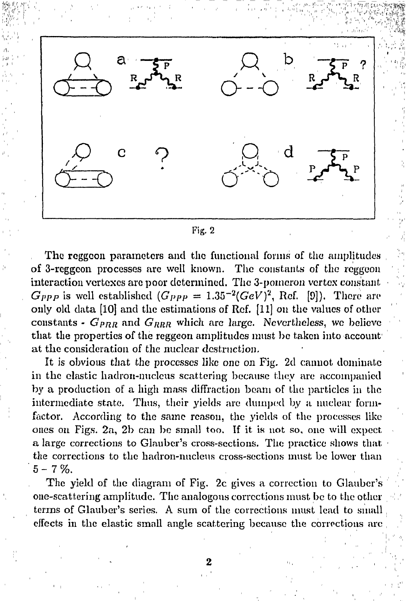

*№М-Г: -I'*.'"-;'"*-•>:• •'::••>•* >;">ч«*t^sv^w:* 

#### Fig. 2

The reggcon parameters and the functional forms of the amplitudes of 3-rcggcon processes arc well known. The constants of the reggoon interaction vertexes are poor determined. The 3-pomeron vortex constant  $G_{PPP}$  is well established  $(G_{PPP} = 1.35^{-2} (GeV)^2$ , Rcf. [9]). There are only old data [10] and the estimations of Ref. [11] on the values of other constants -  $G_{PRR}$  and  $G_{RRR}$  which arc large. Nevertheless, we believe that the properties of the reggeon amplitudes must be taken into account at the consideration of the nuclear destruction.

It is obvious that the processes like one on Fig. 2d cannot dominate in the elastic hadron-nuclcus scattering because they are accompanied by a production of a high mass diffraction beam of the particles in the intermediate state. Thus, their yields are dumped by a nuclear formfactor. According to the same reason, the yields of the processes like ones on Figs.  $2a$ ,  $2b$  can be small too. If it is not so, one will expect a large corrections to Glauber's cross-sections. The practice shows that the corrections to the hadron-nucleus cross-sections must be lower than  $5 - 7 \%$ .

The yield of the diagram of Fig. 2c gives a correction to Glauber's one-scattering amplitude. The analogous corrections must be to the other terms of Glauber's series. A sum of the corrections must lead to small effects in the elastic small angle scattering because the corrections are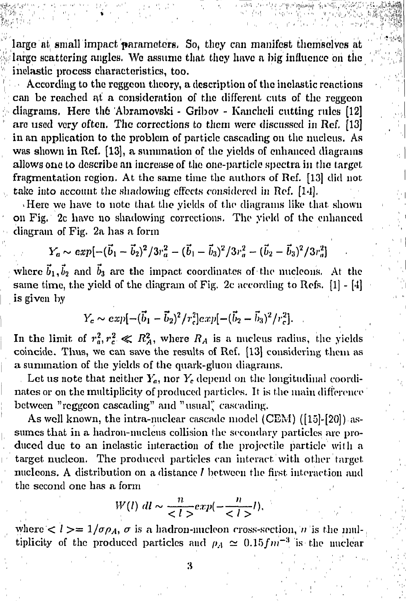large at small impact parameters. So, they can manifest themselves at large scattering angles. We assume that they have a big influence on the ' inelastic process characteristics, too.

According to the reggeon theory, a description of the inelastic reactions can be renched at a consideration of the different cuts of the reggcon > diagrams. Here th6 Abramovski - Gribov - Kanchcli cutting rules [12] arc used very often. The corrections to them were discussed in Ref, [13] in an application to the problem of particle cascading on the nucleus. As was shown in Rcf. [13], a summation of the yields of enhanced diagrams allows one to describe an increase of the one-particle spectra in the target fragmentation region. At the same time the authors of Rcf. [13] did not take into account the shadowing effects considered in Ref. [14].

i)

1

• Here we have to note that the yields of the diagrams like that, shown on Fig. 2c have no shadowing corrections. The yield of the enhanced diagram of Fig. 2a has a form

$$
Y_a \sim exp[-(\vec{b}_1 - \vec{b}_2)^2/3r_a^2 - (\vec{b}_1 - \vec{b}_3)^2/3r_a^2 - (\vec{b}_2 - \vec{b}_3)^2/3r_a^2] \quad .
$$

where  $\vec{b}_1, \vec{b}_2$  and  $\vec{b}_3$  are the impact coordinates of the nucleons. At the same time, the yield of the diagram of Fig. 2c according to Refs.  $[1] - [4]$ is given by

$$
Y_c \sim exp[-(\vec{b}_1 - \vec{b}_2)^2/r_c^2]exp[-(\vec{b}_2 - \vec{b}_3)^2/r_c^2].
$$

In the limit of  $r_a^2, r_c^2 \ll R_A^2$ , where  $R_A$  is a nucleus radius, the yields coincide. Thus, we can save the results of Ref. [13] considering them as a summation of the yields of the quark-gluon diagrams.

Let us note that neither  $Y_a$ , nor  $Y_c$  depend on the longitudinal coordinates or on the multiplicity of produced particles. It is the main difference between "reggeon cascading" and "usual" cascading.

As well known, the intra-nuclear cascade model (CEM) ([15]-[20]) assumes that in a hadron-nucleus collision the secondary particles are produced due to an inelastic interaction of the projectile particle with a target nucleon. The produced particles can interact with other target nucleons. A distribution on a distance *l* between the first interaction and the second one has a form

$$
W(l) \, dl \sim \frac{n}{\langle l \rangle} exp(-\frac{n}{\langle l \rangle})
$$

where  $\langle l \rangle = 1/\sigma \rho_A$ ,  $\sigma$  is a hadron-nucleon cross-section, *n* is the multiplicity of the produced particles and  $\rho_A \simeq 0.15fm^{-3}$  is the nuclear

**' ' ' • 3 , ' , ' : ,, ' ,'**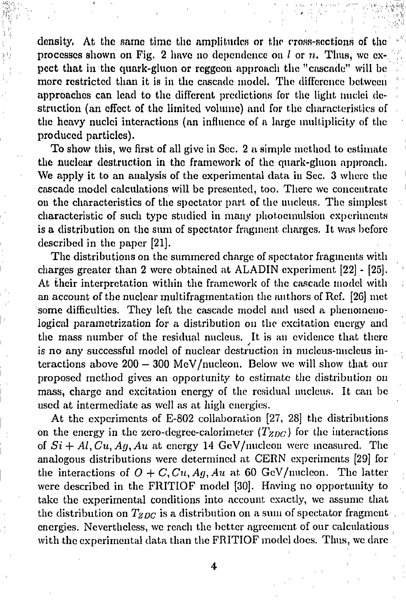density, At the same time the amplitudes or the cross-sections of the processes shown on Pig. 2 have no dependence on / or *n,* Thus, we ex- \ pect that in the quark-gluon or reggcon approach the "cascade" will be more restricted than it is in the cascade model. The difference between approaches can lead to the different predictions for the light nuclei destruction (an effect of the limited volume) and for the characteristics of the heavy nuclei interactions (an influence of a large multiplicity of the produced particles).

To show this, we first of all give in Sec. 2 a simple method to estimate the nuclear destruction in the framework of the quark-gluon approach. We apply it to an analysis of the experimental data in Sec. 3 where the cascade model calculations will be presented, too. There we concentrate on the characteristics of the spectator part of the nucleus. The simplest characteristic of such type studied in many photocmulsion experiments is a distribution on the sum of spectator fragment charges. It was before described in the paper [21].

The distributions on the summered charge of spectator fragments with charges greater than 2 were obtained at ALADIN experiment [22] - [25]. At their interpretation within the framework of the cascade model with an account of the nuclear multifragmentation the authors of Ref. [26] met some difficulties. They left the cascade model and used a phenomenological parametrization for a distribution on the excitation energy and the mass number of the residual nucleus. It is an evidence that there is no any successful model of nuclear destruction in nucleus-nucleus interactions above 200 — 300 MeV/nucleon. Below we will show that our proposed method gives an opportunity to estimate the distribution on mass, charge and excitation energy of the residual nucleus. It can be used at intermediate as well as at high energies.

At the experiments of E-802 collaboration [27, 28] the distributions on the energy in the zero-degree-calorimeter  $(T_{ZDC})$  for the interactions of  $Si + Al$ ,  $Cu$ ,  $Ag$ ,  $Au$  at energy 14 GeV/nucleon were measured. The analogous distributions were determined at CERN experiments [29] for the interactions of  $O + C$ ,  $Cu$ ,  $Ag$ ,  $Au$  at 60 GeV/nucleon. The latter were described in the FRITIOF model [30]. Having no opportunity to take the experimental conditions into account exactly, we assume that the distribution on  $T_{ZDC}$  is a distribution on a sum of spectator fragment. energies. Nevertheless, we reach the better agreement of our calculations with the experimental data than the FRITIOF model docs. Thus, we dare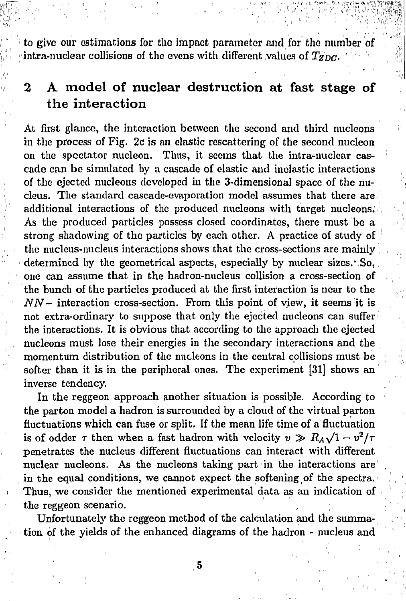to give our estimations for the impact parameter and for the number of  $\frac{1}{100}$  intra-nuclear collisions of the evens with different values of  $T_{ZDC}$ .

!

**ji!;**

*'"'::'* ','•.',, ' ' , '''• -

# **2 A model of nuclear destruction at fast stage of the interaction**

At first glance, the interaction between the second and third nucleons in the process of Fig, 2c is an clastic rescattering of the second nucleon on the spectator nucleon. Thus, it seems that the intra-nuclear cascade can be simulated by a cascade of elastic and inelastic interactions of the ejected nucleons developed in the 3-dimensional space of the nucleus. The standard cascade-evaporation model assumes that there are additional interactions of the produced nucleons with target nucleons. As the produced particles possess closed coordinates, there must be a strong shadowing of the particles by each other. A practice of study of . . . . . . <u>.</u> the nucleus-nucleus interactions shows that the cross-sections are mainly determined by the geometrical aspects, especially by nuclear sizes. $\cdot$  So, one can assume that in the hadron-nucleus collision a cross-section of the bunch of the particles produced at the first interaction is near to the *NN-* interaction cross-section. From this point of view, it seems it is not extra-ordinary to suppose that only the ejected nucleons can suffer the interactions. It is obvious that according to the approach the ejected nucleons must lose their energies in the secondary interactions and the momentum distribution of the nucleons in the central collisions must be softer than it is in the peripheral ones. The experiment [31] shows an inverse tendency.

In the reggeon approach another situation is possible. According to the parton model a hadron is surrounded by a cloud of the virtual parton fluctuations which can fuse or split. If the mean life time of a fluctuation is of odder  $\tau$  then when a fast hadron with velocity  $v \gg R_A \sqrt{1-v^2/\tau}$ penetrates the nucleus different fluctuations can interact with different nuclear nucleons. As the nucleons taking part in the interactions are in the equal conditions, we cannot expect the softening of the spectra. Thus, we consider the mentioned experimental data as an indication of the reggeon scenario.

Unfortunately the reggeon method of the calculation and the summation of the yields of the enhanced diagrams of the hadron - nucleus and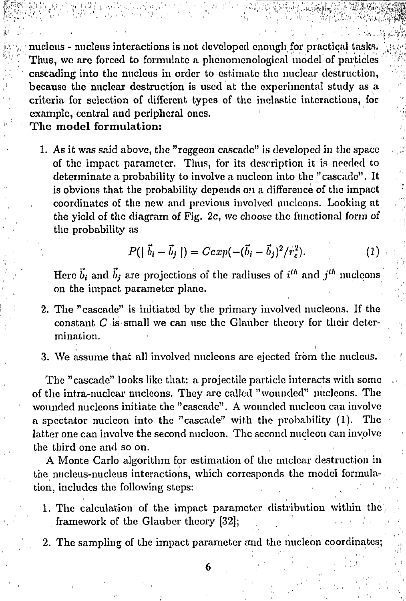nucleus - nucleus interactions is not developed enough for practical tasks. Thus, we are forced to formulate a phenomenological model of particles cascading into the nucleus in order to estimate the nuclear destruction, *'\~\*  because the nuclear destruction is used at the experimental study as a criteria for selection of different types of the inelastic interactions, for example, central and peripheral ones.

The model formulation:

1. As it was said above, the "reggeon cascade" is developed in the space of the impact parameter. Thus, for its description it is needed to determinate a probability to involve a nucleon into the "cascade". It is obvious that the probability depends on a difference of the impact coordinates of the new and previous involved nuclcons. Looking at *;")*  the yield of the diagram of Fig.  $2c$ , we choose the functional form of the probability as

$$
P(|\vec{b}_i - \vec{b}_j|) = Cexp(-(\vec{b}_i - \vec{b}_j)^2/r_c^2).
$$
 (1)

Here  $\vec{b}_i$  and  $\vec{b}_j$  are projections of the radiuses of  $i^{th}$  and  $j^{th}$  nucleons on the impact parameter plane.

- 2. The "cascade" is initiated by the primary involved uucleons. If the constant *С* is small we can use the Glauber theory for their determination.
- 3. We assume that all involved nucleons are ejected from the nucleus.

The "cascade" looks like that: a projectile particle interacts with some of the intra-nuclear nuclcons. They are called "wounded" nuclcons. The wounded nucleons initiate the "cascade". A wounded nucleon can involve a spectator nucleon into the "cascade" with the probability (l). The latter one can involve the second nucleon. The second nucleon can involve the third one and so on.

A Monte Carlo algorithm for estimation of the nuclear destruction in the nucleus-nucleus interactions, which corresponds the model formulation, includes the following steps:

- 1. The calculation of the impact parameter distribution within the framework of the Glauber theory [32];
- 2. The sampling of the impact parameter and the nucleon coordinates;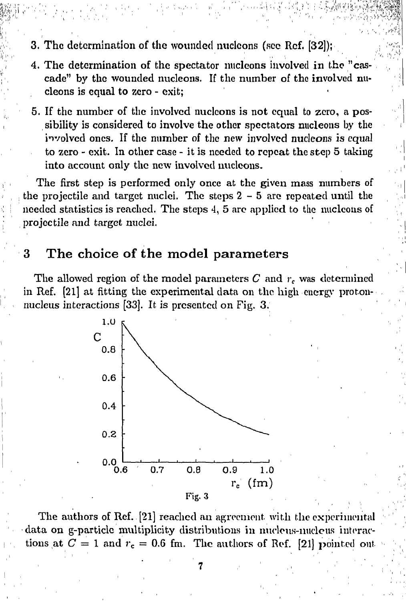- 3. The determination of the wounded miclcons (sec Rcf. [32]);
- 4. The determination of the spectator nucleons involved in the "cascade" by the wounded nucleons. If the number of the involved nucleons is equal to zero - exit;

територу (1992), Солонно постоянно постоянно постоянно постоянно постоянно постоянно постоянно постоянно постоянно<br>В солонно постоянно постоянно постоянно постоянно постоянно постоянно постоянно постоянно постоянно пос

*»4* 

5. If the number of the involved nuclcons is not equal to zero, a possibility is considered to involve the other spectators nucleons by the involved ones. If the number of the new involved nucleons is equal to zero - exit. In other case - it is needed to repeat the step 5 taking into account only the new involved nuclcons.

The first step is performed only once at the given mass numbers of the projectile and target nuclei. The steps  $2 - 5$  are repeated until the needed statistics is reached. The steps 4, 5 are applied to the nucleons of projectile and target nuclei.

## 3 The choice of the model parameters

The allowed region of the model parameters *С* and *rc* was determined in Ref. [21] at fitting the experimental data on the high energy protonnucleus interactions [33]. It is presented on Fig. 3.



The authors of Ref. [21] reached an agreement with the experimental data on g-particle multiplicity distributions in nucleus-nucleus interactions at  $C = 1$  and  $r_c = 0.6$  fm. The authors of Ref. [21] pointed out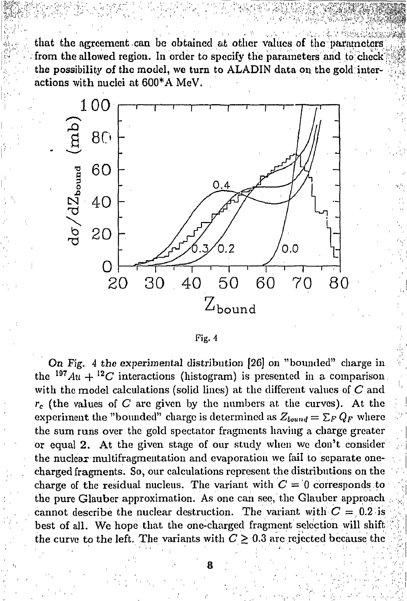that the agreement can be obtained at other values of the parameters from the allowed region. In order to specify the parameters and to check the possibility of the model, we turn to ALADIN data on the gold interactions with nuclei at 600\*A MeV.



On Fig. 4 the experimental distribution [26] on "bounded" charge in the  $197Au + 12C$  interactions (histogram) is presented in a comparison with the model calculations (solid lines) at the different values of  $C$  and  $r_c$  (the values of C are given by the numbers at the curves). At the experiment the "bounded" charge is determined as  $Z_{bound} = \sum_{F} Q_{F}$  where the sum runs over the gold spectator fragments having a charge greater or equal 2. At the given stage of our study when we don't consider the nuclear multifragmentation and evaporation we fail to separate onecharged fragments. So, our calculations represent the distributions on the charge of the residual nucleus. The variant with  $C = 0$  corresponds to the pure Glauber approximation. As one can see, the Glauber approach cannot describe the nuclear destruction. The variant with  $C = 0.2$  is best of all. We hope that the one-charged fragment selection will shift the curve to the left. The variants with  $C \geq 0.3$  are rejected because the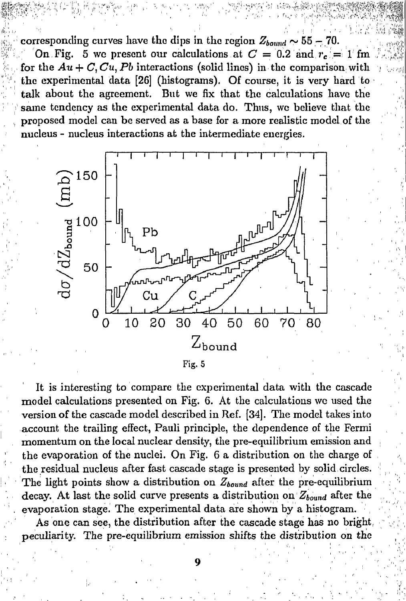corresponding curves have the dips in the region  $Z_{bound} \sim 55 - 70$ . On Fig. 5 we present our calculations at  $C = 0.2$  and  $r_c = 1$  fm for the  $Au + C$ ,  $Cu$ ,  $Pb$  interactions (solid lines) in the comparison with the experimental data  $[26]$  (histograms). Of course, it is very hard to talk about the agreement. But we fix that the calculations have the same tendency as the experimental data do. Thus, we believe that the proposed model can be served as a base for a more realistic model of the nucleus - nucleus interactions at the intermediate energies.

∭

*•m* 



Fig. 5

It is interesting to compare the experimental data with the cascade model calculations presented on Fig. 6. At the calculations we used the version of the cascade model described in Ref. [34]. The model takes into account the trailing effect, Pauli principle, the dependence of the Fermi momentum on the local nuclear density, the pre-equilibrium emission and the evaporation of the nuclei. On Fig. 6 a distribution on the charge of the residual nucleus after fast cascade stage is presented by solid circles. The light points show a distribution on *Zbound* after the pre-equilibrium decay. At last the solid curve presents a distribution on  $Z_{bound}$  after the evaporation stage. The experimental data are shown by a histogram.

As one can see, the distribution after the cascade stage has no bright, peculiarity. The pre-equilibrium emission shifts the distribution on the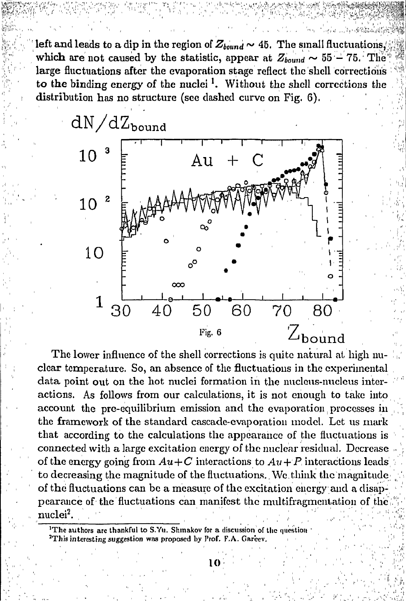left and leads to a dip in the region of  $Z_{bound} \sim 45$ . The small fluctuations, which are not caused by the statistic, appear at  $Z_{bound} \sim 55 - 75$ . The large fluctuations after the evaporation stage reflect the shell corrections to the binding energy of the nuclei<sup>1</sup>. Without the shell corrections the distribution has no structure (see dashed curve on Fig. 6).

he command



The lower influence of the shell corrections is quite natural at high nuclear temperature. So, an absence of the fluctuations in the experimental data point out on the hot nuclei formation in the nucleus-nucleus interactions. As follows from our calculations, it is not enough to take into account the pre-equilibrium emission and the evaporation processes in the framework of the standard cascade-evaporation model. Let us mark that according to the calculations the appearance of the fluctuations is connected with a large excitation energy of the nuclear residual. Decrease of the energy going from  $Au+C$  interactions to  $Au+P$  interactions leads to decreasing the magnitude of the fluctuations. We think the magnitude of the fluctuations can be a measure of the excitation energy and a disappearance of the fluctuations can manifest the multifragmentation of the nuclei<sup>2</sup>.

<sup>1</sup>The authors are thankful to S.Yu. Shmakov for a discussion of the question <sup>2</sup>This interesting suggestion was proposed by Prof. F.A. Gareev.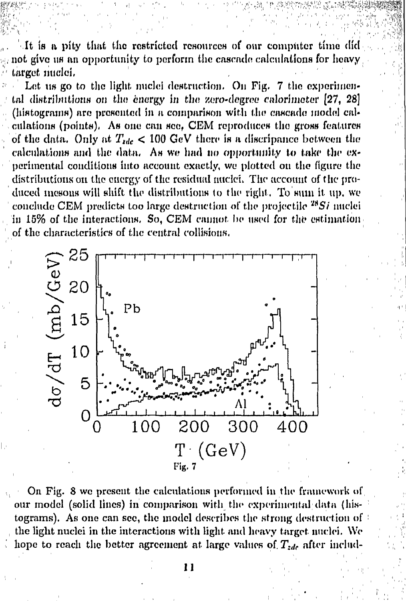It is a pity that the restricted resources of our computer time did not give us an opportunity to perform the casende calculations for heavy target miclei.

Let us go to the light nuclei destruction. On Fig. 7 the experimental distributions on the energy in the zero-degree calorimeter [27, 28] (histograms) are presented in a comparison with the cascade model calculations (points). As one can see, CEM reproduces the gross features of the data. Only at  $T_{tdc}$  < 100 GeV there is a discripance between the calculations and the data. As we had no opportunity to take the experimental conditions into account exactly, we plotted on the figure the distributions on the energy of the residual nuclei. The account of the produced mesons will shift the distributions to the right. To sum it up, we conclude CEM predicts too large destruction of the projectile  $^{28}Si$  miclei in 15% of the interactions. So, CEM cannot be used for the estimation of the characteristics of the central collisions.



On Fig. 8 we present the calculations performed in the framework of our model (solid lines) in comparison with the experimental data (histograms). As one can see, the model describes the strong destruction of the light nuclei in the interactions with light and heavy target nuclei. We hope to reach the better agreement at large values of  $T_{zde}$  after includ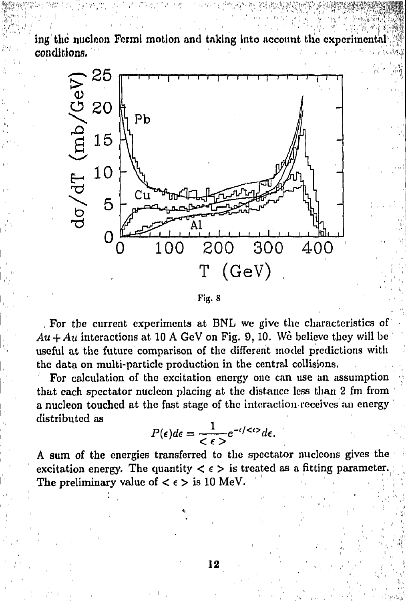ing the nucleon Fermi motion and taking into account the experimental conditions,



Fig. 8

For the current experiments at BNL we give the characteristics of  $Au + Au$  interactions at 10 A GeV on Fig. 9, 10. We believe they will be useful at the future comparison of the different model predictions with the data on multi-particle production in the central collisions.

For calculation of the excitation energy one can use an assumption that each spectator nucleon placing at the distance less than 2 fm from a nucleon touched at the fast stage of the interaction-receives an energy distributed as

$$
P(\epsilon)d\epsilon = \frac{1}{\epsilon \epsilon}e^{-\epsilon/\epsilon/2}d\epsilon.
$$

A sum of the energies transferred to the spectator nucleons gives the excitation energy. The quantity  $\langle \epsilon \rangle$  is treated as a fitting parameter. The preliminary value of  $\langle \epsilon \rangle$  is 10 MeV.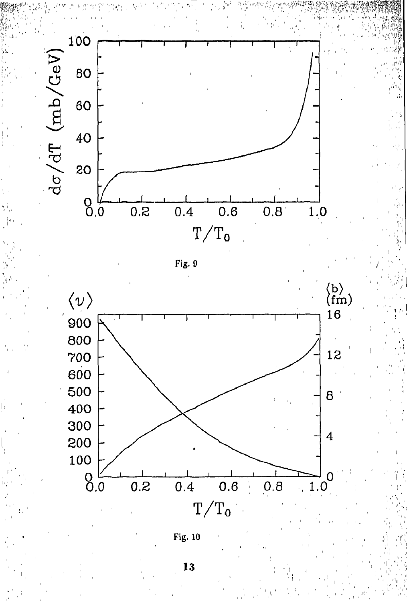

Fig. 9



Fig. 10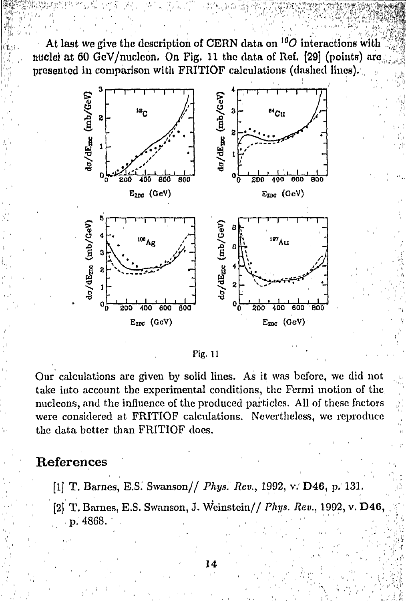At last we give the description of CERN data on  $^{16}O$  interactions with nuclei at 60 GeV/nucleon. On Fig. 11 the data of Ref. [29] (points) are presented in comparison with FRITIOF calculations (dashed lines).



Fig. 11

Our calculations are given by solid lines. As it was before, we did not take into account the experimental conditions, the Fermi motion of the. nucleons, and the influence of the produced particles. All of these factors were considered at FRITIOF calculations. Nevertheless, we reproduce the data better than FRITIOF does.

### References

- [1] T. Barnes, E.S. Swanson// Phys. Rev., 1992, v. D46, p. 131.
- [2] T. Barnes, E.S. Swanson, J. Weinstein// Phys. Rev., 1992, v. D46, p. 4868.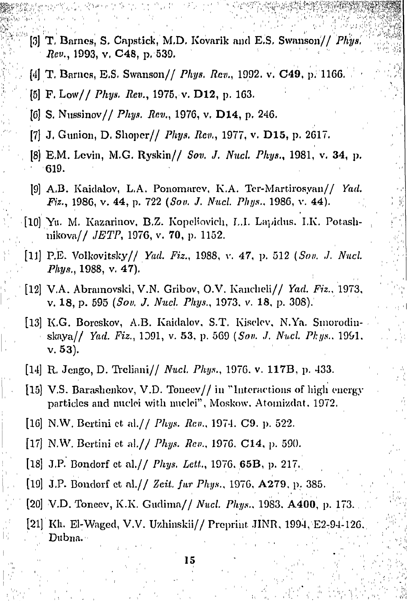- [3] T, Barnes, S. Cnpstick, M,D. Kovarik and E,S, Swanson// *Phys, Rev,,* 1993, v, C48, p, 539,
- [4] T. Barnes, E.S. Swanson // *Phys. Rev.*, 1992. v. C49, p. 1166.
- [6] F. Low// *Phys. Rev.,* 1975, v. **D12,** p. 163.

**£feV:** 

- [6] S. Nussinov / *Phys. Rev.*, 1976, v. **D14**, p. 246.
- [7] J. Gunion, D. Shoper// *Phys. Rev.*, 1977, v. D15, p. 2617.
- [8] E.M. Levin, M.G. Ryskin// Sov. J. Nucl. Phys., 1981, v. 34, p. 619.
- [9] A.B. Kaiclalov, L.A. Ponomarev, K.A. Ter-Martirosyan// *Yad. Fiz.,* 1986, v. **44,** p. 722 (So\*/. *J. Nucl. Phys.,* 1986, v. 44).
- [10] Yu. M. Kazarinov, B.Z. Kopeliovich, L.I. Lapichis. I.K. Potashuikova// *JETP,* 1976, v. 70, p. 1152.
- [11] Р.Б. Volkovitsky// *Yad. Fiz.,* 1988, v. 47, p. 512 *(Son. J. Nucl. Phys.,* 1988, v. 47).
- [12] V.A. Abramovski, V.N. Gribov, O.V. Kancheli// *Yad. Fiz.,* 1973, v. 18, p. 595 *(Sou. J. Nucl. Phys.,* 1973. v. 18, p. 308).
- [13] K.G. Boreskov, A.B. Kaidalov, S.T. Kiselev, N.Ya. Smorodinskaya// *Yad. Fiz.,* 1Э91, v. 53, p. 569 *{Sou. J. Nucl. Phys..* 1991. v. 53).
- [14] R. Jcngo, D. Trelinni// *Nucl. Phys.,* 1976. v. **117B,** p. 433.
- [15] V.S. Barashonkov, V.D. Tonecv// in "Interactions of high energy particles and nuclei with nuclei", Moskow. Atomizdat. 1972.
- [16] N.W. Bertini et al.// *Phys. Rev.,* 1974. C9. p. 522.
- [17] N.W. Bertini ct al.// *Phys. Rev.,* 1976. С14, p. 590.
- [18] J.P. Bondorf et al.// *Phys. Lett,* 1976. 65B, p. 217.
- [19] J.P. Bondorf ct al.// *Zeit. fur Phys.,* 1976, A279, p. 385.
- [20] V.D. Toneev, K.K. Gudima// *Nucl. Phys.,* 1983. **A400,** p. 173.
- [21] Kh. El-Waged, V.V. Uzhinskii// Preprint JINR, 1994, E2-94-126. Dubna."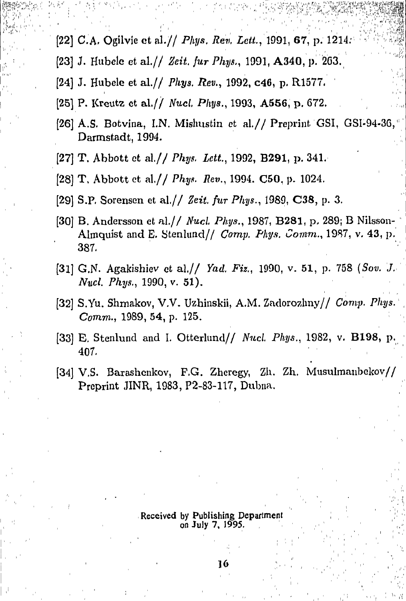- [22] C.A. Ogilvie et al.// Phys. Rev. Lett., 1991, 67, p. 1214.
- [23] J. Hubele et al.// Zeit. fur Phys., 1991, A340, p. 263.
- [24] J. Hubele et al.// Phys. Rev., 1992, c46, p. R1577.
- [25] P. Kreutz et al.// Nucl. Phys., 1993, A556, p. 672.
- [26] A.S. Botvina, I.N. Mishustin et al.// Preprint GSI, GSI-94-36, Darmstadt, 1994.
- [27] T. Abbott et al.// Phys. Lett., 1992, B291, p. 341.
- [28] T. Abbott et al.// Phys. Rev., 1994. C50, p. 1024.
- [29] S.P. Sorensen et al.// Zeit. fur Phys., 1989, C38, p. 3.
- [30] B. Andersson et al.// Nucl. Phys., 1987, B281, p. 289; B Nilsson-Almoust and E. Stenlund// Comp. Phys. Comm., 1987, v. 43, p. 387.
- [31] G.N. Agakishiev et al.// Yad. Fiz., 1990, v. 51, p. 758 (Sov. J. Nucl. Phys., 1990, v. 51).
- [32] S.Yu. Shmakov, V.V. Uzhinskii, A.M. Zadorozhny// Comp. Phys. Comm., 1989, 54, p. 125.
- [33] E. Stenlund and I. Otterlund// Nucl. Phys., 1982, v. B198, p. 407.
- [34] V.S. Barashenkov, F.G. Zheregy, Zh. Zh. Musulmanbekov// Preprint JINR, 1983, P2-83-117, Dubna.

#### Received by Publishing Department on July 7, 1995.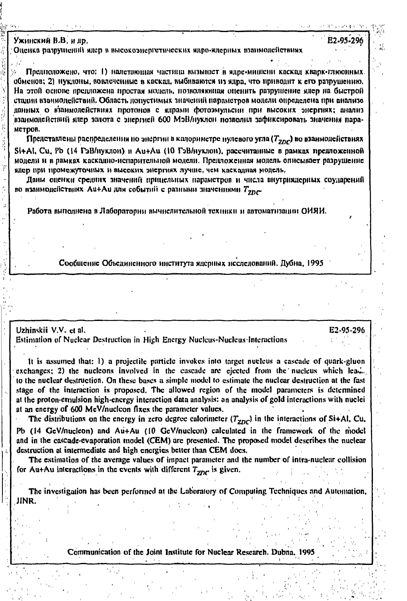Ужинский В.В. и пр.

Оценка разрушений ядер в высокоэнергетических ядро-ядерных взаимодействиях

Предположено, что: 1) налетающая частица вызывает в ядре-мишени каскад кварк-глюонных обменов; 2) нуклоны, вовлеченные в каская, выбиваются из язра, что приводит к его разрушению. На этой основе предложена простая модель, позволяющая опенить разрушение ядер на быстрой стании взвимолействий. Область попустимых значений нараметров модели определена при анализо двиных о взаимодействиях протонов с ядрами фотоэмульски при высоких энергиях; анализ взаимодействий ядер золота с эдергией 600 МэВ/нуклон позволил зафиксировать значения пара-MCTDOR.

Представлены распределения по энергии в калориметре нулевого угла (T<sub>200</sub>) во взаимодействиях Si+Al, Cu, Pb (14 ГэВ/нуклон) и Au+Au (10 ГэВ/нуклон), рассчитанные в рамках предложенной модели и в рамках каскодно-испарительной модели. Предложенная модель описывает разрушение ядер при промежуточных и высоких энергиях лучше, чем каскадная модель,

Даны оценки средних значений прицельных парамстров и числа внутриядерных соударений во взаимодействиях Аu+Аu для событий с разными значениями  $T_{z\bar{z}\bar{z}\bar{z}}$ 

Работа выподнена в Лаборатории вычислительной техники и автоматизации ОИЯИ.

Сообщение Объединенного института ядерных исследований. Дубна, 1995

Uzhinskii V.V. et al.

Estimation of Nuclear Destruction in High Energy Nucleus-Nucleus-Interactions

It is assumed that: 1) a projectile particle invokes into target nucleus a cascade of quark-gluon exchanges; 2) the nucleons involved in the cascade are ejected from the nucleus which lead. to the nuclear destruction. On these bases a simple model to estimate the nuclear destruction at the fast stage of the interaction is proposed. The allowed region of the model parameters is determined at the proton-emulsion high-energy interaction data analysis: an analysis of gold interactions with nuclei at an energy of 600 MeV/nucleon fixes the parameter values.

E2-95-296

The distributions on the energy in zero degree calorimeter  $(T_{ZDC})$  in the interactions of Si+Al, Cu, Pb (14 GeV/nucleon) and Au+Au (10 GeV/nucleon) calculated in the framework of the model and in the cascade-evaporation model (CEM) are presented. The proposed model describes the nuclear destruction at intermediate and high energies better than CEM does.

The estimation of the average values of impact parameter and the number of intra-nuclear collision for Au+Au interactions in the events with different  $T_{2DC}$  is given.

The investigation has been performed at the Laboratory of Computing Techniques and Automation, JINR.

Communication of the Joint Institute for Nuclear Research. Dubna, 1995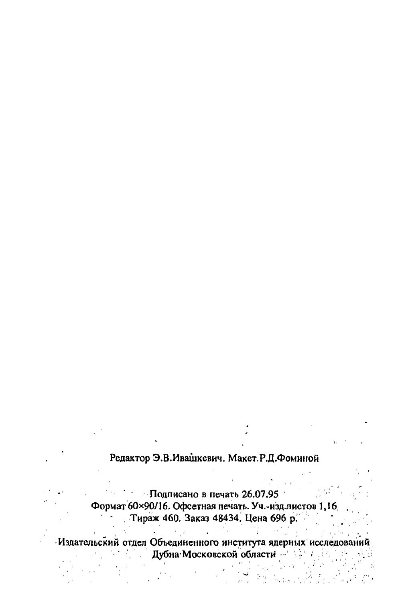#### Редактор Э.В. Ивашкевич. Макет. Р.Д. Фоминой

• Подписано в печать 26.07.95 Формат 60×90/16. Офсетная печать. Уч.-изд.листов 1,16 Тираж 460. Заказ 48434. Цена 696 р.  $\mathbb{R}^{n \times n}$ 

Издательский отдел Объединенного института ядерных исследований Дубна Московской области

 $\mathcal{O}_{\infty}$  .

 $\mathcal{A}(\mathcal{F})$  and  $\mathcal{F}$